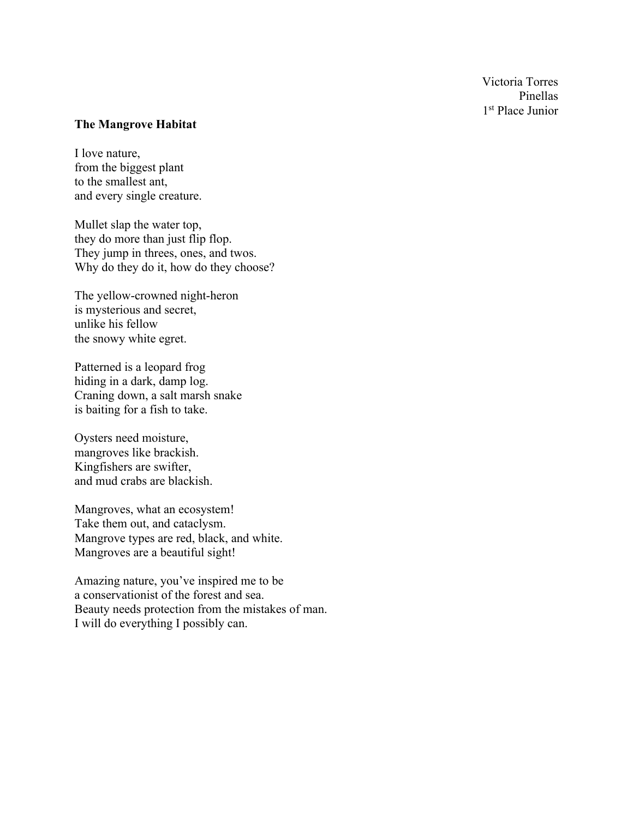Victoria Torres Pinellas 1st Place Junior

#### **The Mangrove Habitat**

I love nature, from the biggest plant to the smallest ant, and every single creature.

Mullet slap the water top, they do more than just flip flop. They jump in threes, ones, and twos. Why do they do it, how do they choose?

The yellow-crowned night-heron is mysterious and secret, unlike his fellow the snowy white egret.

Patterned is a leopard frog hiding in a dark, damp log. Craning down, a salt marsh snake is baiting for a fish to take.

Oysters need moisture, mangroves like brackish. Kingfishers are swifter, and mud crabs are blackish.

Mangroves, what an ecosystem! Take them out, and cataclysm. Mangrove types are red, black, and white. Mangroves are a beautiful sight!

Amazing nature, you've inspired me to be a conservationist of the forest and sea. Beauty needs protection from the mistakes of man. I will do everything I possibly can.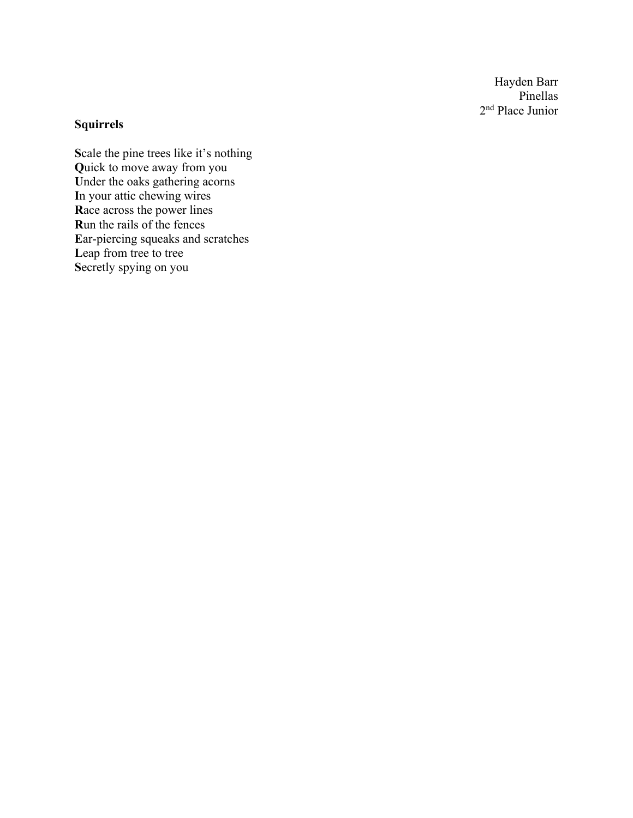Hayden Barr Pinellas 2nd Place Junior

### **Squirrels**

**S**cale the pine trees like it's nothing **Q**uick to move away from you **U**nder the oaks gathering acorns **I**n your attic chewing wires **R**ace across the power lines **R**un the rails of the fences **E**ar-piercing squeaks and scratches Leap from tree to tree **S**ecretly spying on you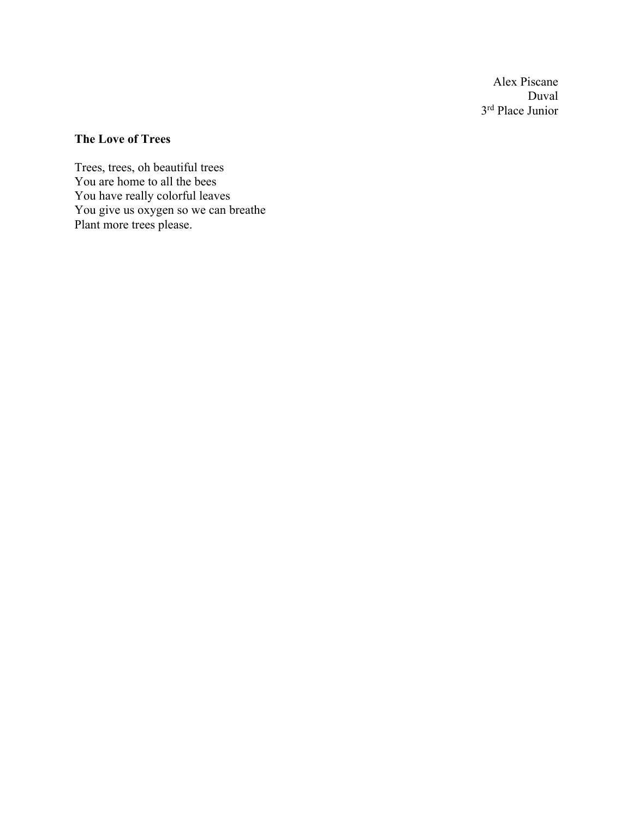Alex Piscane Duval 3rd Place Junior

# **The Love of Trees**

Trees, trees, oh beautiful trees You are home to all the bees You have really colorful leaves You give us oxygen so we can breathe Plant more trees please.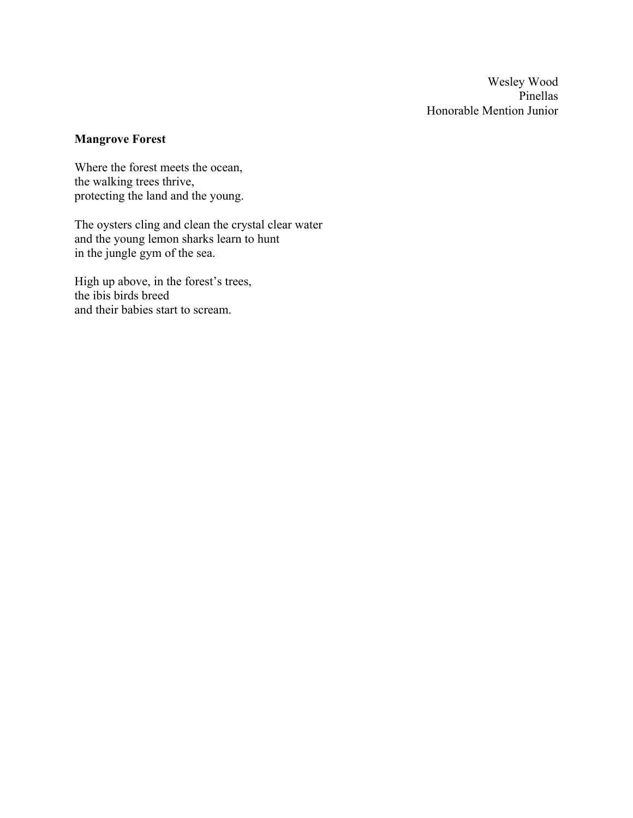Wesley Wood Pinellas Honorable Mention Junior

# **Mangrove Forest**

Where the forest meets the ocean, the walking trees thrive, protecting the land and the young.

The oysters cling and clean the crystal clear water and the young lemon sharks learn to hunt in the jungle gym of the sea.

High up above, in the forest's trees, the ibis birds breed and their babies start to scream.